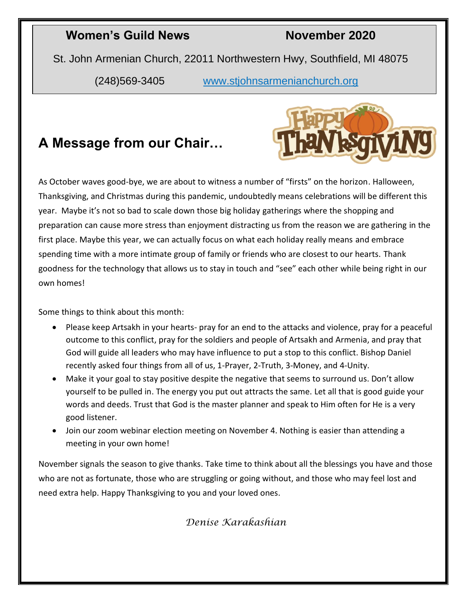#### **Women's Guild News November 2020**

St. John Armenian Church, 22011 Northwestern Hwy, Southfield, MI 48075

(248)569-3405 [www.stjohnsarmenianchurch.org](http://www.stjohnsarmenianchurch.org/)

#### **A Message from our Chair…**



As October waves good-bye, we are about to witness a number of "firsts" on the horizon. Halloween, Thanksgiving, and Christmas during this pandemic, undoubtedly means celebrations will be different this year. Maybe it's not so bad to scale down those big holiday gatherings where the shopping and preparation can cause more stress than enjoyment distracting us from the reason we are gathering in the first place. Maybe this year, we can actually focus on what each holiday really means and embrace spending time with a more intimate group of family or friends who are closest to our hearts. Thank goodness for the technology that allows us to stay in touch and "see" each other while being right in our own homes!

Some things to think about this month:

- Please keep Artsakh in your hearts- pray for an end to the attacks and violence, pray for a peaceful outcome to this conflict, pray for the soldiers and people of Artsakh and Armenia, and pray that God will guide all leaders who may have influence to put a stop to this conflict. Bishop Daniel recently asked four things from all of us, 1-Prayer, 2-Truth, 3-Money, and 4-Unity.
- Make it your goal to stay positive despite the negative that seems to surround us. Don't allow yourself to be pulled in. The energy you put out attracts the same. Let all that is good guide your words and deeds. Trust that God is the master planner and speak to Him often for He is a very good listener.
- Join our zoom webinar election meeting on November 4. Nothing is easier than attending a meeting in your own home!

November signals the season to give thanks. Take time to think about all the blessings you have and those who are not as fortunate, those who are struggling or going without, and those who may feel lost and need extra help. Happy Thanksgiving to you and your loved ones.

*Denise Karakashian*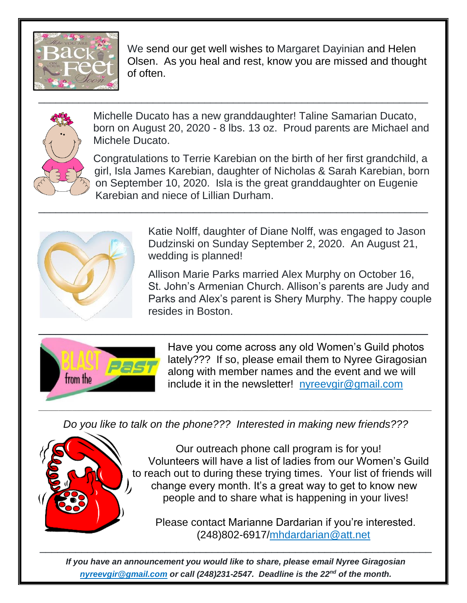

We send our get well wishes to Margaret Dayinian and Helen Olsen. As you heal and rest, know you are missed and thought of often.



 Michelle Ducato has a new granddaughter! Taline Samarian Ducato, born on August 20, 2020 - 8 lbs. 13 oz. Proud parents are Michael and Michele Ducato.

\_\_\_\_\_\_\_\_\_\_\_\_\_\_\_\_\_\_\_\_\_\_\_\_\_\_\_\_\_\_\_\_\_\_\_\_\_\_\_\_\_\_\_\_\_\_\_\_\_\_\_\_\_\_\_\_\_\_\_\_\_\_\_\_\_\_\_\_

Congratulations to Terrie Karebian on the birth of her first grandchild, a girl, Isla James Karebian, daughter of Nicholas & Sarah Karebian, born on September 10, 2020. Isla is the great granddaughter on Eugenie Karebian and niece of Lillian Durham.  $\_$  , and the contribution of the contribution of  $\mathcal{L}_1$  , and the contribution of  $\mathcal{L}_2$  , and  $\mathcal{L}_3$ 



 Katie Nolff, daughter of Diane Nolff, was engaged to Jason Dudzinski on Sunday September 2, 2020. An August 21, wedding is planned!

Allison Marie Parks married Alex Murphy on October 16, St. John's Armenian Church. Allison's parents are Judy and Parks and Alex's parent is Shery Murphy. The happy couple resides in Boston.



Have you come across any old Women's Guild photos lately??? If so, please email them to Nyree Giragosian along with member names and the event and we will include it in the newsletter! <nyreevgir@gmail.com>

*Do you like to talk on the phone??? Interested in making new friends???*



Our outreach phone call program is for you! Volunteers will have a list of ladies from our Women's Guild to reach out to during these trying times. Your list of friends will change every month. It's a great way to get to know new people and to share what is happening in your lives!

Please contact Marianne Dardarian if you're interested. (248)802-6917[/mhdardarian@att.net](mailto:mhdardarian@att.net)

*If you have an announcement you would like to share, please email Nyree Giragosian [nyreevgir@gmail.com](mailto:nyreevgir@gmail.com) or call (248)231-2547. Deadline is the 22nd of the month.*

 $\overline{\phantom{a}}$  , and the contract of the contract of the contract of the contract of the contract of the contract of the contract of the contract of the contract of the contract of the contract of the contract of the contrac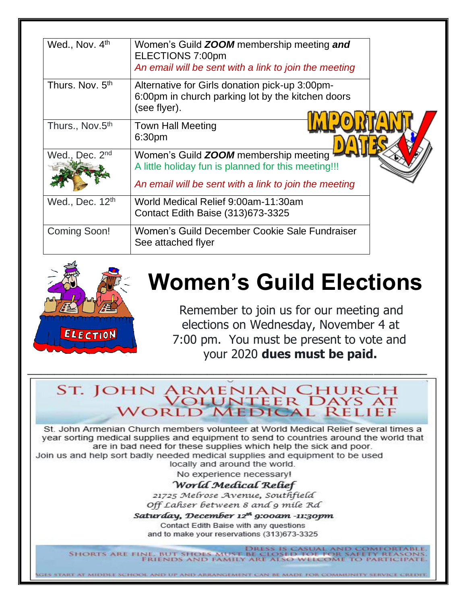| Wed., Nov. 4th              | Women's Guild <b>ZOOM</b> membership meeting and<br>ELECTIONS 7:00pm<br>An email will be sent with a link to join the meeting                         |  |
|-----------------------------|-------------------------------------------------------------------------------------------------------------------------------------------------------|--|
| Thurs. Nov. 5 <sup>th</sup> | Alternative for Girls donation pick-up 3:00pm-<br>6:00pm in church parking lot by the kitchen doors<br>(see flyer).                                   |  |
| Thurs., Nov.5th             | <b>Town Hall Meeting</b><br>6:30pm                                                                                                                    |  |
| Wed., Dec. 2nd              | Women's Guild ZOOM membership meeting<br>A little holiday fun is planned for this meeting!!!<br>An email will be sent with a link to join the meeting |  |
| Wed., Dec. 12 <sup>th</sup> | World Medical Relief 9:00am-11:30am<br>Contact Edith Baise (313) 673-3325                                                                             |  |
| <b>Coming Soon!</b>         | Women's Guild December Cookie Sale Fundraiser<br>See attached flyer                                                                                   |  |



### **Women's Guild Elections**

Remember to join us for our meeting and elections on Wednesday, November 4 at 7:00 pm. You must be present to vote and your 2020 dues must be paid.

# ST. JOHN ARMENIAN CHURCH<br>WOLUNTEER DAYS AT<br>WORLD MEDICAL RELIEF

St. John Armenian Church members volunteer at World Medical Relief several times a year sorting medical supplies and equipment to send to countries around the world that are in bad need for these supplies which help the sick and poor. Join us and help sort badly needed medical supplies and equipment to be used

locally and around the world.

No experience necessary!

#### World Medical Relief

21725 Melrose Avenue, Southfield Off Lahser between 8 and 9 mile Rd

Saturday, December 12<sup>th</sup> 9:00am -11:30pm Contact Edith Baise with any questions and to make your reservations (313)673-3325

IES START AT MIDDLE SCHOOL AND UP AND ABBANGEMENT CAN BE MADE FOR COMMUNITY SERVICE CREDIT

DRESS IS CASUAL AND COME ne, but shoes must be closed toe for s<br>Friends and family are also welcome **SHORTS ARE FINE. TO PARTICIPATE**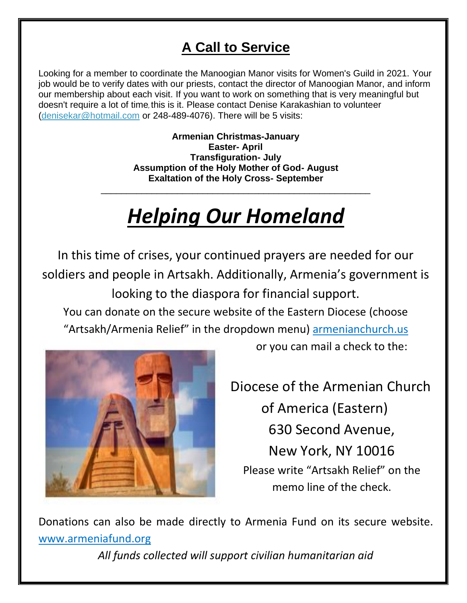#### **A Call to Service**

Looking for a member to coordinate the Manoogian Manor visits for Women's Guild in 2021. Your job would be to verify dates with our priests, contact the director of Manoogian Manor, and inform our membership about each visit. If you want to work on something that is very meaningful but doesn't require a lot of time, this is it. Please contact Denise Karakashian to volunteer [\(denisekar@hotmail.com](denisekar@hotmail.com%20) or 248-489-4076). There will be 5 visits:

> **Armenian Christmas-January Easter- April Transfiguration- July Assumption of the Holy Mother of God- August Exaltation of the Holy Cross- September**

### *Helping Our Homeland*

\_\_\_\_\_\_\_\_\_\_\_\_\_\_\_\_\_\_\_\_\_\_\_\_\_\_\_\_\_\_\_\_\_\_\_\_\_\_\_\_\_\_\_\_\_\_\_\_\_\_\_\_\_

In this time of crises, your continued prayers are needed for our soldiers and people in Artsakh. Additionally, Armenia's government is looking to the diaspora for financial support.

You can donate on the secure website of the Eastern Diocese (choose "Artsakh/Armenia Relief" in the dropdown menu) <armenianchurch.us>



or you can mail a check to the:

Diocese of the Armenian Church of America (Eastern) 630 Second Avenue, New York, NY 10016 Please write "Artsakh Relief" on the memo line of the check.

Donations can also be made directly to Armenia Fund on its secure website. [www.armeniafund.org](www.armeniafund.org%20)

*All funds collected will support civilian humanitarian aid*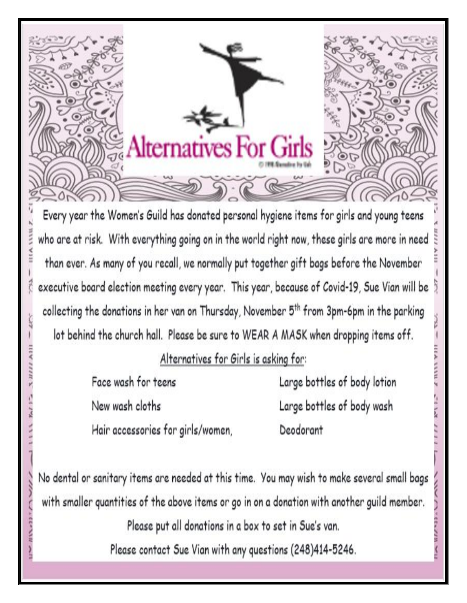

Every year the Women's Guild has donated personal hygiene items for girls and young teens who are at risk. With everything going on in the world right now, these girls are more in need than ever. As many of you recall, we normally put together gift bags before the November executive board election meeting every year. This year, because of Covid-19, Sue Vian will be collecting the donations in her van on Thursday, November 5<sup>th</sup> from 3pm-6pm in the parking lot behind the church hall. Please be sure to WEAR A MASK when dropping items off.

Alternatives for Girls is asking for:

Face wash for teens New wash cloths Hair accessories for girls/women, Large bottles of body lotion Large bottles of body wash Deodorant

No dental or sanitary items are needed at this time. You may wish to make several small bags with smaller quantities of the above items or go in on a donation with another guild member.

Please put all donations in a box to set in Sue's van.

Please contact Sue Vian with any questions (248)414-5246.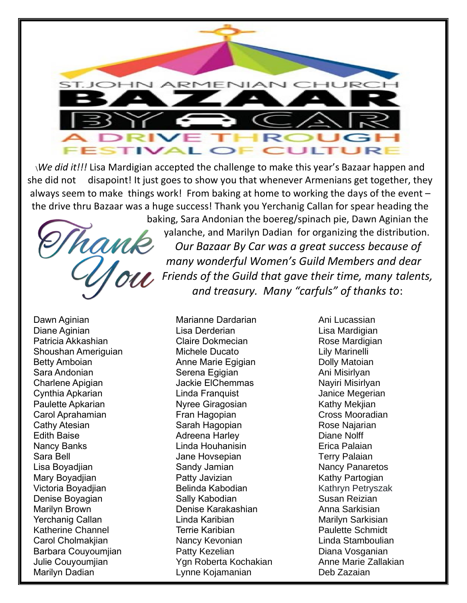

\*We did it!!!* Lisa Mardigian accepted the challenge to make this year's Bazaar happen and she did not disapoint! It just goes to show you that whenever Armenians get together, they always seem to make things work! From baking at home to working the days of the event – the drive thru Bazaar was a huge success! Thank you Yerchanig Callan for spear heading the



baking, Sara Andonian the boereg/spinach pie, Dawn Aginian the yalanche, and Marilyn Dadian for organizing the distribution. *Our Bazaar By Car was a great success because of many wonderful Women's Guild Members and dear Friends of the Guild that gave their time, many talents, and treasury. Many "carfuls" of thanks to*:

Dawn Aginian Diane Aginian Patricia Akkashian Shoushan Ameriguian Betty Amboian Sara Andonian Charlene Apigian Cynthia Apkarian Paulette Apkarian Carol Aprahamian Cathy Atesian Edith Baise Nancy Banks Sara Bell Lisa Boyadjian Mary Boyadjian Victoria Boyadjian Denise Boyagian Marilyn Brown Yerchanig Callan Katherine Channel Carol Cholmakjian Barbara Couyoumjian Julie Couyoumjian Marilyn Dadian

Marianne Dardarian Lisa Derderian Claire Dokmecian Michele Ducato Anne Marie Egigian Serena Egigian Jackie ElChemmas Linda Franquist Nyree Giragosian Fran Hagopian Sarah Hagopian Adreena Harley Linda Houhanisin Jane Hovsepian Sandy Jamian Patty Javizian Belinda Kabodian Sally Kabodian Denise Karakashian Linda Karibian Terrie Karibian Nancy Kevonian Patty Kezelian Ygn Roberta Kochakian Lynne Kojamanian

Ani Lucassian Lisa Mardigian Rose Mardigian Lily Marinelli Dolly Matoian Ani Misirlyan Nayiri Misirlyan Janice Megerian Kathy Mekjian Cross Mooradian Rose Najarian Diane Nolff Erica Palaian Terry Palaian Nancy Panaretos Kathy Partogian Kathryn Petryszak Susan Reizian Anna Sarkisian Marilyn Sarkisian Paulette Schmidt Linda Stamboulian Diana Vosganian Anne Marie Zallakian Deb Zazaian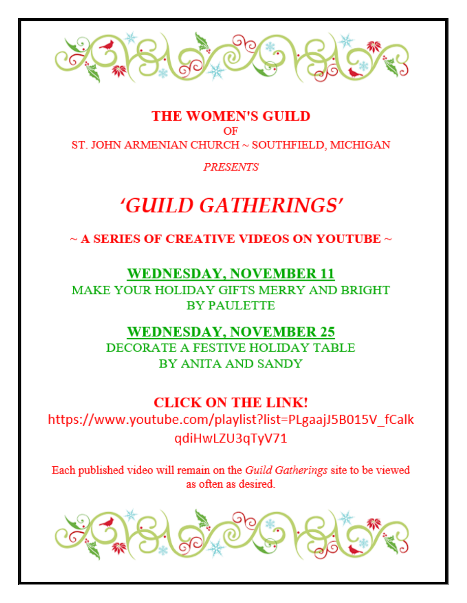

#### **THE WOMEN'S GUILD** OF ST. JOHN ARMENIAN CHURCH ~ SOUTHFIELD, MICHIGAN

**PRESENTS** 

### 'GUILD GATHERINGS'

 $\sim$  A SERIES OF CREATIVE VIDEOS ON YOUTUBE  $\sim$ 

#### **WEDNESDAY, NOVEMBER 11**

**MAKE YOUR HOLIDAY GIFTS MERRY AND BRIGHT BY PAULETTE** 

#### **WEDNESDAY, NOVEMBER 25**

**DECORATE A FESTIVE HOLIDAY TABLE** BY ANITA AND SANDY

#### **CLICK ON THE LINK!**

https://www.youtube.com/playlist?list=PLgaajJ5B015V\_fCalk qdiHwLZU3qTyV71

Each published video will remain on the Guild Gatherings site to be viewed as often as desired.